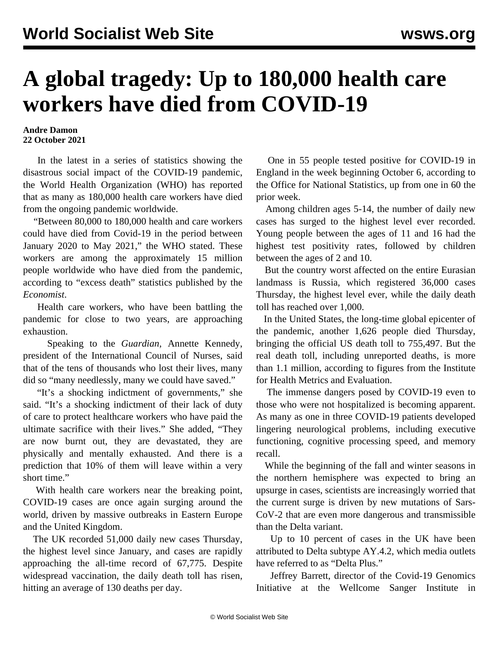## **A global tragedy: Up to 180,000 health care workers have died from COVID-19**

## **Andre Damon 22 October 2021**

 In the latest in a series of statistics showing the disastrous social impact of the COVID-19 pandemic, the World Health Organization (WHO) has reported that as many as 180,000 health care workers have died from the ongoing pandemic worldwide.

 "Between 80,000 to 180,000 health and care workers could have died from Covid-19 in the period between January 2020 to May 2021," the WHO stated. These workers are among the approximately 15 million people worldwide who have died from the pandemic, according to "excess death" statistics published by the *Economist*.

 Health care workers, who have been battling the pandemic for close to two years, are approaching exhaustion.

 Speaking to the *Guardian*, Annette Kennedy, president of the International Council of Nurses, said that of the tens of thousands who lost their lives, many did so "many needlessly, many we could have saved."

 "It's a shocking indictment of governments," she said. "It's a shocking indictment of their lack of duty of care to protect healthcare workers who have paid the ultimate sacrifice with their lives." She added, "They are now burnt out, they are devastated, they are physically and mentally exhausted. And there is a prediction that 10% of them will leave within a very short time."

 With health care workers near the breaking point, COVID-19 cases are once again surging around the world, driven by massive outbreaks in Eastern Europe and the United Kingdom.

 The UK recorded 51,000 daily new cases Thursday, the highest level since January, and cases are rapidly approaching the all-time record of 67,775. Despite widespread vaccination, the daily death toll has risen, hitting an average of 130 deaths per day.

 One in 55 people tested positive for COVID-19 in England in the week beginning October 6, according to the Office for National Statistics, up from one in 60 the prior week.

 Among children ages 5-14, the number of daily new cases has surged to the highest level ever recorded. Young people between the ages of 11 and 16 had the highest test positivity rates, followed by children between the ages of 2 and 10.

 But the country worst affected on the entire Eurasian landmass is Russia, which registered 36,000 cases Thursday, the highest level ever, while the daily death toll has reached over 1,000.

 In the United States, the long-time global epicenter of the pandemic, another 1,626 people died Thursday, bringing the official US death toll to 755,497. But the real death toll, including unreported deaths, is more than 1.1 million, according to figures from the Institute for Health Metrics and Evaluation.

 The immense dangers posed by COVID-19 even to those who were not hospitalized is becoming apparent. As many as one in three COVID-19 patients developed lingering neurological problems, including executive functioning, cognitive processing speed, and memory recall.

 While the beginning of the fall and winter seasons in the northern hemisphere was expected to bring an upsurge in cases, scientists are increasingly worried that the current surge is driven by new mutations of Sars-CoV-2 that are even more dangerous and transmissible than the Delta variant.

 Up to 10 percent of cases in the UK have been attributed to Delta subtype AY.4.2, which media outlets have referred to as "Delta Plus."

 Jeffrey Barrett, director of the Covid-19 Genomics Initiative at the Wellcome Sanger Institute in